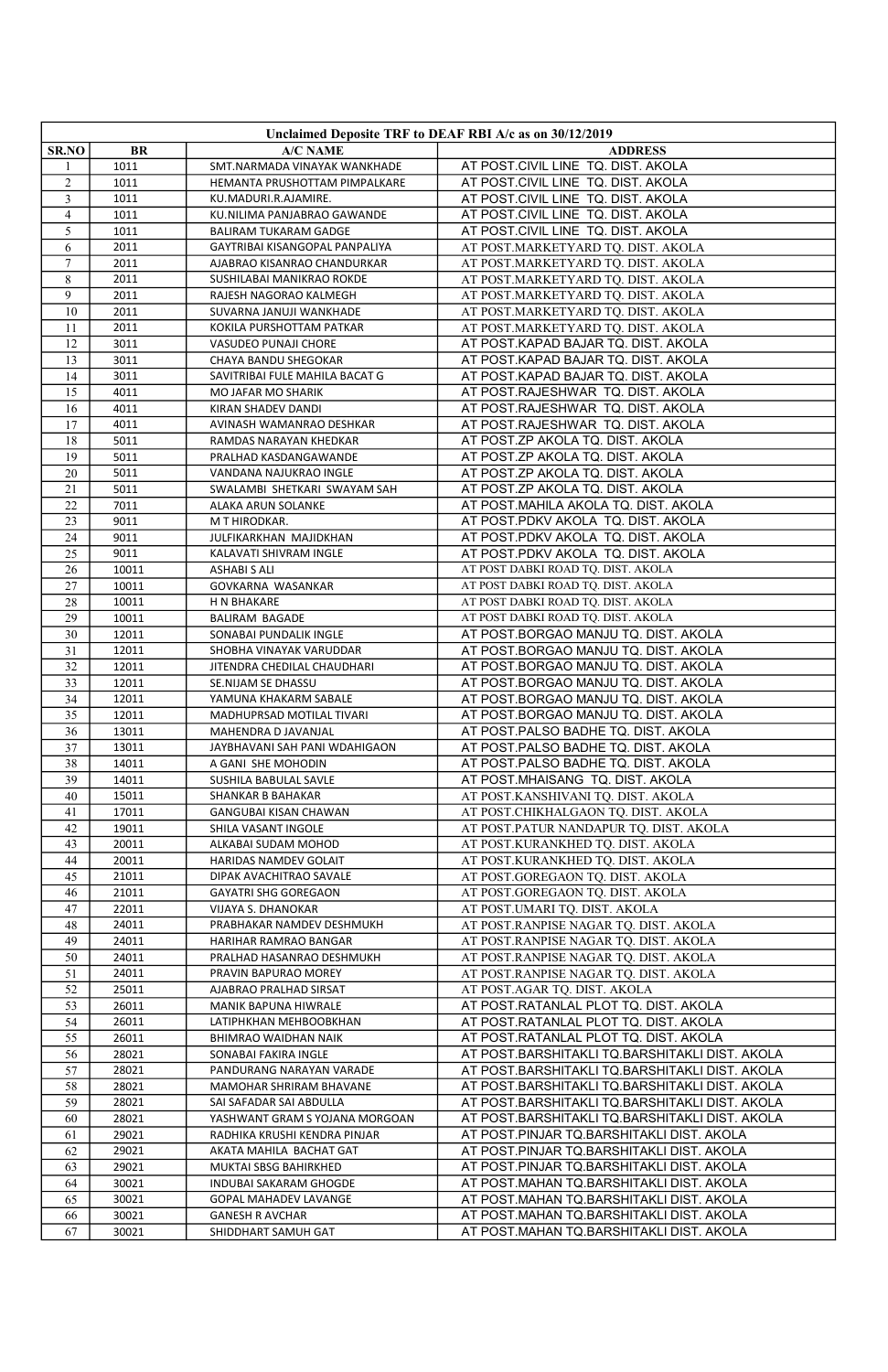| Unclaimed Deposite TRF to DEAF RBI A/c as on 30/12/2019 |                |                                                   |                                                                                      |
|---------------------------------------------------------|----------------|---------------------------------------------------|--------------------------------------------------------------------------------------|
| SR.NO                                                   | BR             | A/C NAME                                          | <b>ADDRESS</b>                                                                       |
|                                                         | 1011           | SMT.NARMADA VINAYAK WANKHADE                      | AT POST.CIVIL LINE TQ. DIST. AKOLA                                                   |
| $\overline{2}$                                          | 1011           | HEMANTA PRUSHOTTAM PIMPALKARE                     | AT POST.CIVIL LINE TQ. DIST. AKOLA                                                   |
| 3                                                       | 1011           | KU.MADURI.R.AJAMIRE.                              | AT POST.CIVIL LINE TQ. DIST. AKOLA                                                   |
| $\overline{4}$                                          | 1011           | KU.NILIMA PANJABRAO GAWANDE                       | AT POST.CIVIL LINE TQ. DIST. AKOLA                                                   |
| 5                                                       | 1011           | BALIRAM TUKARAM GADGE                             | AT POST.CIVIL LINE TQ. DIST. AKOLA                                                   |
| 6                                                       | 2011           | GAYTRIBAI KISANGOPAL PANPALIYA                    | AT POST.MARKETYARD TQ. DIST. AKOLA                                                   |
| $\overline{7}$                                          | 2011           | AJABRAO KISANRAO CHANDURKAR                       | AT POST.MARKETYARD TQ. DIST. AKOLA                                                   |
| 8                                                       | 2011           | SUSHILABAI MANIKRAO ROKDE                         | AT POST.MARKETYARD TQ. DIST. AKOLA                                                   |
| 9                                                       | 2011           | RAJESH NAGORAO KALMEGH                            | AT POST.MARKETYARD TQ. DIST. AKOLA                                                   |
| 10                                                      | 2011           | SUVARNA JANUJI WANKHADE                           | AT POST.MARKETYARD TQ. DIST. AKOLA                                                   |
| 11<br>12                                                | 2011           | KOKILA PURSHOTTAM PATKAR                          | AT POST.MARKETYARD TQ. DIST. AKOLA                                                   |
|                                                         | 3011<br>3011   | VASUDEO PUNAJI CHORE<br>CHAYA BANDU SHEGOKAR      | AT POST.KAPAD BAJAR TQ. DIST. AKOLA<br>AT POST.KAPAD BAJAR TQ. DIST. AKOLA           |
| 13<br>14                                                | 3011           | SAVITRIBAI FULE MAHILA BACAT G                    | AT POST.KAPAD BAJAR TQ. DIST. AKOLA                                                  |
| 15                                                      | 4011           | MO JAFAR MO SHARIK                                | AT POST.RAJESHWAR TQ. DIST. AKOLA                                                    |
| 16                                                      | 4011           | KIRAN SHADEV DANDI                                | AT POST.RAJESHWAR TQ. DIST. AKOLA                                                    |
| 17                                                      | 4011           | AVINASH WAMANRAO DESHKAR                          | AT POST.RAJESHWAR TQ. DIST. AKOLA                                                    |
| 18                                                      | 5011           | RAMDAS NARAYAN KHEDKAR                            | AT POST.ZP AKOLA TQ. DIST. AKOLA                                                     |
| 19                                                      | 5011           | PRALHAD KASDANGAWANDE                             | AT POST.ZP AKOLA TQ. DIST. AKOLA                                                     |
| 20                                                      | 5011           | VANDANA NAJUKRAO INGLE                            | AT POST.ZP AKOLA TQ. DIST. AKOLA                                                     |
| 21                                                      | 5011           | SWALAMBI SHETKARI SWAYAM SAH                      | AT POST.ZP AKOLA TQ. DIST. AKOLA                                                     |
| 22                                                      | 7011           | ALAKA ARUN SOLANKE                                | AT POST.MAHILA AKOLA TQ. DIST. AKOLA                                                 |
| 23                                                      | 9011           | M T HIRODKAR.                                     | AT POST.PDKV AKOLA TQ. DIST. AKOLA                                                   |
| 24                                                      | 9011           | JULFIKARKHAN MAJIDKHAN                            | AT POST.PDKV AKOLA TQ. DIST. AKOLA                                                   |
| 25                                                      | 9011           | KALAVATI SHIVRAM INGLE                            | AT POST.PDKV AKOLA TQ. DIST. AKOLA                                                   |
| 26                                                      | 10011          | <b>ASHABI S ALI</b>                               | AT POST DABKI ROAD TQ. DIST. AKOLA                                                   |
| 27                                                      | 10011          | GOVKARNA WASANKAR                                 | AT POST DABKI ROAD TQ. DIST. AKOLA                                                   |
| 28                                                      | 10011          | H N BHAKARE                                       | AT POST DABKI ROAD TQ. DIST. AKOLA                                                   |
| 29                                                      | 10011          | <b>BALIRAM BAGADE</b>                             | AT POST DABKI ROAD TQ. DIST. AKOLA                                                   |
| 30                                                      | 12011          | SONABAI PUNDALIK INGLE                            | AT POST.BORGAO MANJU TQ. DIST. AKOLA                                                 |
| 31                                                      | 12011          | SHOBHA VINAYAK VARUDDAR                           | AT POST.BORGAO MANJU TQ. DIST. AKOLA                                                 |
| 32                                                      | 12011          | JITENDRA CHEDILAL CHAUDHARI                       | AT POST.BORGAO MANJU TQ. DIST. AKOLA                                                 |
| 33                                                      | 12011          | SE.NIJAM SE DHASSU                                | AT POST.BORGAO MANJU TQ. DIST. AKOLA                                                 |
| 34                                                      | 12011          | YAMUNA KHAKARM SABALE                             | AT POST.BORGAO MANJU TQ. DIST. AKOLA                                                 |
| 35                                                      | 12011          | MADHUPRSAD MOTILAL TIVARI                         | AT POST.BORGAO MANJU TQ. DIST. AKOLA                                                 |
| 36                                                      | 13011          | MAHENDRA D JAVANJAL                               | AT POST.PALSO BADHE TQ. DIST. AKOLA                                                  |
| 37                                                      | 13011          | JAYBHAVANI SAH PANI WDAHIGAON                     | AT POST.PALSO BADHE TQ. DIST. AKOLA                                                  |
| 38                                                      | 14011          | A GANI SHE MOHODIN                                | AT POST.PALSO BADHE TQ. DIST. AKOLA                                                  |
| 39<br>40                                                | 14011          | SUSHILA BABULAL SAVLE                             | AT POST.MHAISANG TQ. DIST. AKOLA                                                     |
| 41                                                      | 15011<br>17011 | SHANKAR B BAHAKAR<br><b>GANGUBAI KISAN CHAWAN</b> | AT POST.KANSHIVANI TQ. DIST. AKOLA<br>AT POST.CHIKHALGAON TQ. DIST. AKOLA            |
| 42                                                      | 19011          | SHILA VASANT INGOLE                               | AT POST.PATUR NANDAPUR TQ. DIST. AKOLA                                               |
| 43                                                      | 20011          | ALKABAI SUDAM MOHOD                               | AT POST.KURANKHED TQ. DIST. AKOLA                                                    |
| 44                                                      | 20011          | HARIDAS NAMDEV GOLAIT                             | AT POST.KURANKHED TQ. DIST. AKOLA                                                    |
| 45                                                      | 21011          | DIPAK AVACHITRAO SAVALE                           | AT POST.GOREGAON TQ. DIST. AKOLA                                                     |
| 46                                                      | 21011          | <b>GAYATRI SHG GOREGAON</b>                       | AT POST.GOREGAON TQ. DIST. AKOLA                                                     |
| 47                                                      | 22011          | VIJAYA S. DHANOKAR                                | AT POST.UMARI TQ. DIST. AKOLA                                                        |
| 48                                                      | 24011          | PRABHAKAR NAMDEV DESHMUKH                         | AT POST.RANPISE NAGAR TQ. DIST. AKOLA                                                |
| 49                                                      | 24011          | HARIHAR RAMRAO BANGAR                             | AT POST.RANPISE NAGAR TQ. DIST. AKOLA                                                |
| 50                                                      | 24011          | PRALHAD HASANRAO DESHMUKH                         | AT POST.RANPISE NAGAR TQ. DIST. AKOLA                                                |
| 51                                                      | 24011          | PRAVIN BAPURAO MOREY                              | AT POST.RANPISE NAGAR TQ. DIST. AKOLA                                                |
| 52                                                      | 25011          | AJABRAO PRALHAD SIRSAT                            | AT POST.AGAR TQ. DIST. AKOLA                                                         |
| 53                                                      | 26011          | MANIK BAPUNA HIWRALE                              | AT POST.RATANLAL PLOT TQ. DIST. AKOLA                                                |
| 54                                                      | 26011          | LATIPHKHAN MEHBOOBKHAN                            | AT POST.RATANLAL PLOT TQ. DIST. AKOLA                                                |
| 55                                                      | 26011          | BHIMRAO WAIDHAN NAIK                              | AT POST.RATANLAL PLOT TQ. DIST. AKOLA                                                |
| 56                                                      | 28021          | SONABAI FAKIRA INGLE                              | AT POST.BARSHITAKLI TQ.BARSHITAKLI DIST. AKOLA                                       |
| 57                                                      | 28021          | PANDURANG NARAYAN VARADE                          | AT POST.BARSHITAKLI TQ.BARSHITAKLI DIST. AKOLA                                       |
| 58                                                      | 28021          | MAMOHAR SHRIRAM BHAVANE                           | AT POST.BARSHITAKLI TQ.BARSHITAKLI DIST. AKOLA                                       |
| 59                                                      | 28021          | SAI SAFADAR SAI ABDULLA                           | AT POST.BARSHITAKLI TQ.BARSHITAKLI DIST. AKOLA                                       |
| 60                                                      | 28021          | YASHWANT GRAM S YOJANA MORGOAN                    | AT POST.BARSHITAKLI TQ.BARSHITAKLI DIST. AKOLA                                       |
| 61                                                      | 29021          | RADHIKA KRUSHI KENDRA PINJAR                      | AT POST.PINJAR TQ.BARSHITAKLI DIST. AKOLA                                            |
| 62                                                      | 29021<br>29021 | AKATA MAHILA BACHAT GAT<br>MUKTAI SBSG BAHIRKHED  | AT POST.PINJAR TQ.BARSHITAKLI DIST. AKOLA                                            |
| 63                                                      | 30021          | INDUBAI SAKARAM GHOGDE                            | AT POST.PINJAR TQ.BARSHITAKLI DIST. AKOLA                                            |
| 64<br>65                                                | 30021          | <b>GOPAL MAHADEV LAVANGE</b>                      | AT POST.MAHAN TQ.BARSHITAKLI DIST. AKOLA<br>AT POST.MAHAN TQ.BARSHITAKLI DIST. AKOLA |
| 66                                                      | 30021          | <b>GANESH R AVCHAR</b>                            | AT POST.MAHAN TQ.BARSHITAKLI DIST. AKOLA                                             |
| 67                                                      | 30021          | SHIDDHART SAMUH GAT                               | AT POST.MAHAN TQ.BARSHITAKLI DIST. AKOLA                                             |
|                                                         |                |                                                   |                                                                                      |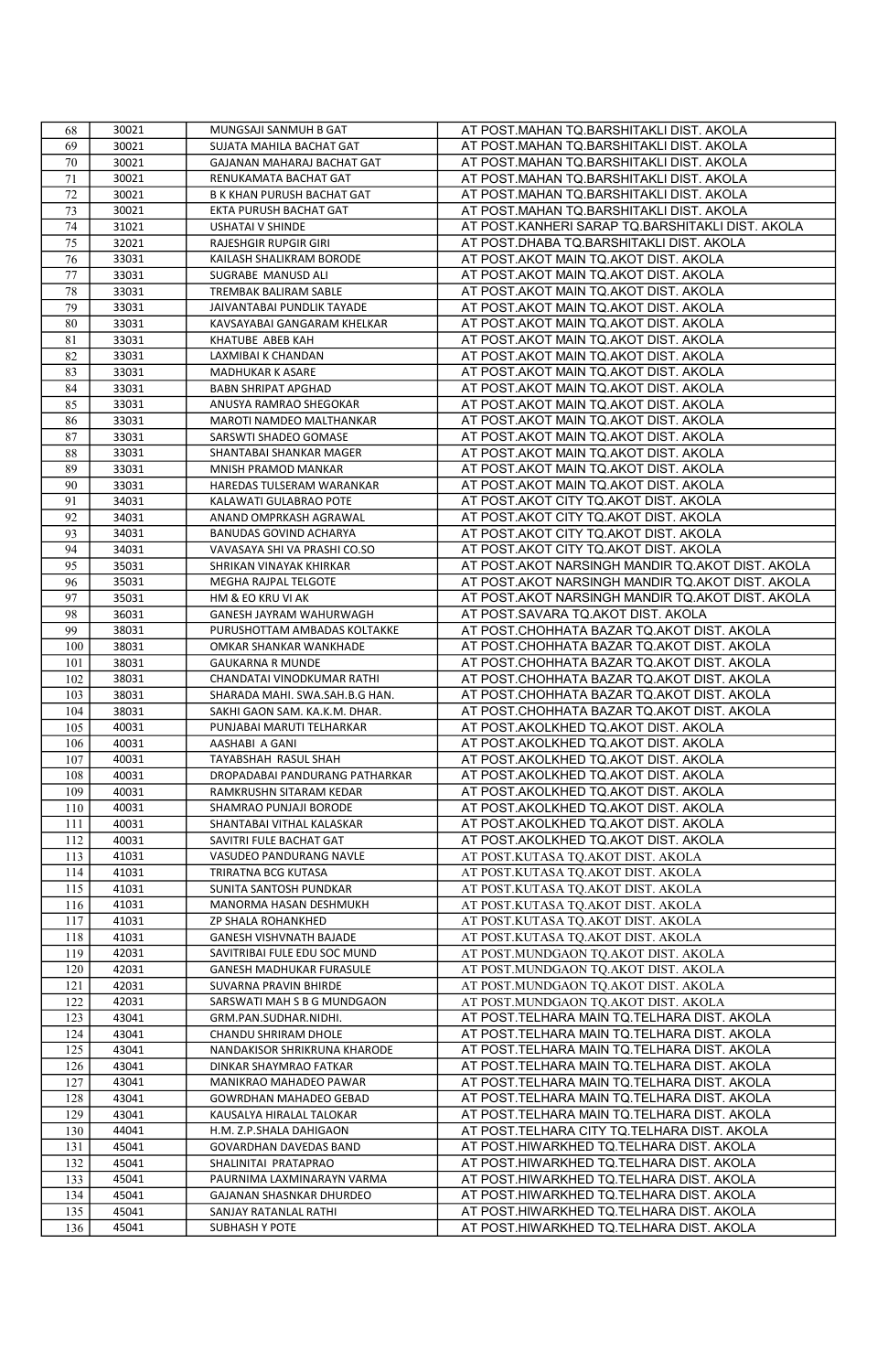| 68  | 30021 | MUNGSAJI SANMUH B GAT             | AT POST.MAHAN TQ.BARSHITAKLI DIST. AKOLA         |
|-----|-------|-----------------------------------|--------------------------------------------------|
| 69  | 30021 | SUJATA MAHILA BACHAT GAT          | AT POST.MAHAN TQ.BARSHITAKLI DIST. AKOLA         |
| 70  | 30021 | GAJANAN MAHARAJ BACHAT GAT        | AT POST.MAHAN TQ.BARSHITAKLI DIST. AKOLA         |
| 71  | 30021 | RENUKAMATA BACHAT GAT             | AT POST.MAHAN TQ.BARSHITAKLI DIST. AKOLA         |
| 72  | 30021 | <b>B K KHAN PURUSH BACHAT GAT</b> | AT POST.MAHAN TQ.BARSHITAKLI DIST. AKOLA         |
| 73  | 30021 | EKTA PURUSH BACHAT GAT            | AT POST.MAHAN TQ.BARSHITAKLI DIST. AKOLA         |
| 74  | 31021 | <b>USHATAI V SHINDE</b>           | AT POST.KANHERI SARAP TQ.BARSHITAKLI DIST. AKOLA |
| 75  | 32021 | RAJESHGIR RUPGIR GIRI             | AT POST.DHABA TQ.BARSHITAKLI DIST. AKOLA         |
| 76  | 33031 | KAILASH SHALIKRAM BORODE          | AT POST.AKOT MAIN TQ.AKOT DIST. AKOLA            |
| 77  | 33031 | SUGRABE MANUSD ALI                | AT POST.AKOT MAIN TQ.AKOT DIST. AKOLA            |
| 78  | 33031 | TREMBAK BALIRAM SABLE             | AT POST.AKOT MAIN TQ.AKOT DIST. AKOLA            |
| 79  | 33031 | JAIVANTABAI PUNDLIK TAYADE        | AT POST.AKOT MAIN TQ.AKOT DIST. AKOLA            |
| 80  | 33031 | KAVSAYABAI GANGARAM KHELKAR       | AT POST.AKOT MAIN TQ.AKOT DIST. AKOLA            |
| 81  | 33031 | KHATUBE ABEB KAH                  | AT POST.AKOT MAIN TQ.AKOT DIST. AKOLA            |
| 82  | 33031 | LAXMIBAI K CHANDAN                | AT POST.AKOT MAIN TQ.AKOT DIST. AKOLA            |
| 83  | 33031 | MADHUKAR K ASARE                  | AT POST.AKOT MAIN TQ.AKOT DIST. AKOLA            |
| 84  | 33031 | <b>BABN SHRIPAT APGHAD</b>        | AT POST.AKOT MAIN TQ.AKOT DIST. AKOLA            |
| 85  | 33031 | ANUSYA RAMRAO SHEGOKAR            | AT POST.AKOT MAIN TQ.AKOT DIST. AKOLA            |
| 86  | 33031 | MAROTI NAMDEO MALTHANKAR          | AT POST.AKOT MAIN TQ.AKOT DIST. AKOLA            |
| 87  | 33031 | SARSWTI SHADEO GOMASE             | AT POST.AKOT MAIN TQ.AKOT DIST. AKOLA            |
| 88  | 33031 | SHANTABAI SHANKAR MAGER           | AT POST.AKOT MAIN TQ.AKOT DIST. AKOLA            |
| 89  | 33031 | MNISH PRAMOD MANKAR               | AT POST.AKOT MAIN TQ.AKOT DIST. AKOLA            |
| 90  | 33031 | HAREDAS TULSERAM WARANKAR         | AT POST.AKOT MAIN TQ.AKOT DIST. AKOLA            |
| 91  | 34031 | KALAWATI GULABRAO POTE            | AT POST.AKOT CITY TQ.AKOT DIST. AKOLA            |
| 92  | 34031 | ANAND OMPRKASH AGRAWAL            | AT POST.AKOT CITY TQ.AKOT DIST. AKOLA            |
| 93  | 34031 | BANUDAS GOVIND ACHARYA            | AT POST.AKOT CITY TQ.AKOT DIST. AKOLA            |
| 94  | 34031 | VAVASAYA SHI VA PRASHI CO.SO      | AT POST.AKOT CITY TQ.AKOT DIST. AKOLA            |
| 95  | 35031 | SHRIKAN VINAYAK KHIRKAR           | AT POST.AKOT NARSINGH MANDIR TQ.AKOT DIST. AKOLA |
| 96  | 35031 | MEGHA RAJPAL TELGOTE              | AT POST.AKOT NARSINGH MANDIR TQ.AKOT DIST. AKOLA |
| 97  | 35031 | HM & EO KRU VI AK                 | AT POST.AKOT NARSINGH MANDIR TQ.AKOT DIST. AKOLA |
| 98  | 36031 | GANESH JAYRAM WAHURWAGH           | AT POST.SAVARA TQ.AKOT DIST. AKOLA               |
| 99  | 38031 | PURUSHOTTAM AMBADAS KOLTAKKE      | AT POST.CHOHHATA BAZAR TQ.AKOT DIST. AKOLA       |
| 100 | 38031 | OMKAR SHANKAR WANKHADE            | AT POST.CHOHHATA BAZAR TQ.AKOT DIST. AKOLA       |
| 101 | 38031 | <b>GAUKARNA R MUNDE</b>           | AT POST.CHOHHATA BAZAR TQ.AKOT DIST. AKOLA       |
| 102 | 38031 | CHANDATAI VINODKUMAR RATHI        | AT POST.CHOHHATA BAZAR TQ.AKOT DIST. AKOLA       |
| 103 | 38031 | SHARADA MAHI. SWA.SAH.B.G HAN.    | AT POST.CHOHHATA BAZAR TQ.AKOT DIST. AKOLA       |
| 104 | 38031 | SAKHI GAON SAM. KA.K.M. DHAR.     | AT POST.CHOHHATA BAZAR TQ.AKOT DIST. AKOLA       |
| 105 | 40031 | PUNJABAI MARUTI TELHARKAR         | AT POST.AKOLKHED TQ.AKOT DIST. AKOLA             |
| 106 | 40031 | AASHABI A GANI                    | AT POST.AKOLKHED TQ.AKOT DIST. AKOLA             |
| 107 | 40031 | TAYABSHAH RASUL SHAH              | AT POST.AKOLKHED TQ.AKOT DIST. AKOLA             |
| 108 | 40031 | DROPADABAI PANDURANG PATHARKAR    | AT POST.AKOLKHED TQ.AKOT DIST. AKOLA             |
| 109 | 40031 | RAMKRUSHN SITARAM KEDAR           | AT POST.AKOLKHED TQ.AKOT DIST. AKOLA             |
| 110 | 40031 | SHAMRAO PUNJAJI BORODE            | AT POST.AKOLKHED TQ.AKOT DIST. AKOLA             |
| 111 | 40031 | SHANTABAI VITHAL KALASKAR         | AT POST.AKOLKHED TQ.AKOT DIST. AKOLA             |
| 112 | 40031 | SAVITRI FULE BACHAT GAT           | AT POST.AKOLKHED TQ.AKOT DIST. AKOLA             |
| 113 | 41031 | VASUDEO PANDURANG NAVLE           | AT POST.KUTASA TQ.AKOT DIST. AKOLA               |
| 114 | 41031 | TRIRATNA BCG KUTASA               | AT POST.KUTASA TQ.AKOT DIST. AKOLA               |
| 115 | 41031 | SUNITA SANTOSH PUNDKAR            | AT POST.KUTASA TQ.AKOT DIST. AKOLA               |
| 116 | 41031 | MANORMA HASAN DESHMUKH            | AT POST.KUTASA TQ.AKOT DIST. AKOLA               |
| 117 | 41031 | ZP SHALA ROHANKHED                | AT POST.KUTASA TQ.AKOT DIST. AKOLA               |
| 118 | 41031 | <b>GANESH VISHVNATH BAJADE</b>    | AT POST.KUTASA TO.AKOT DIST. AKOLA               |
| 119 | 42031 | SAVITRIBAI FULE EDU SOC MUND      | AT POST.MUNDGAON TQ.AKOT DIST. AKOLA             |
| 120 | 42031 | GANESH MADHUKAR FURASULE          | AT POST.MUNDGAON TQ.AKOT DIST. AKOLA             |
| 121 | 42031 | <b>SUVARNA PRAVIN BHIRDE</b>      | AT POST.MUNDGAON TQ.AKOT DIST. AKOLA             |
| 122 | 42031 | SARSWATI MAH S B G MUNDGAON       | AT POST.MUNDGAON TQ.AKOT DIST. AKOLA             |
| 123 | 43041 | GRM.PAN.SUDHAR.NIDHI.             | AT POST.TELHARA MAIN TQ.TELHARA DIST. AKOLA      |
| 124 | 43041 | CHANDU SHRIRAM DHOLE              | AT POST.TELHARA MAIN TQ.TELHARA DIST. AKOLA      |
| 125 | 43041 | NANDAKISOR SHRIKRUNA KHARODE      | AT POST.TELHARA MAIN TQ.TELHARA DIST. AKOLA      |
| 126 | 43041 | DINKAR SHAYMRAO FATKAR            | AT POST.TELHARA MAIN TQ.TELHARA DIST. AKOLA      |
| 127 | 43041 | MANIKRAO MAHADEO PAWAR            | AT POST.TELHARA MAIN TQ.TELHARA DIST. AKOLA      |
| 128 | 43041 | GOWRDHAN MAHADEO GEBAD            | AT POST.TELHARA MAIN TQ.TELHARA DIST. AKOLA      |
| 129 | 43041 | KAUSALYA HIRALAL TALOKAR          | AT POST.TELHARA MAIN TQ.TELHARA DIST. AKOLA      |
| 130 | 44041 | H.M. Z.P.SHALA DAHIGAON           | AT POST.TELHARA CITY TQ.TELHARA DIST. AKOLA      |
| 131 | 45041 | <b>GOVARDHAN DAVEDAS BAND</b>     | AT POST.HIWARKHED TQ.TELHARA DIST. AKOLA         |
| 132 | 45041 | SHALINITAI PRATAPRAO              | AT POST.HIWARKHED TQ.TELHARA DIST. AKOLA         |
| 133 | 45041 | PAURNIMA LAXMINARAYN VARMA        | AT POST.HIWARKHED TQ.TELHARA DIST. AKOLA         |
| 134 | 45041 | GAJANAN SHASNKAR DHURDEO          | AT POST.HIWARKHED TQ.TELHARA DIST. AKOLA         |
| 135 | 45041 | SANJAY RATANLAL RATHI             | AT POST.HIWARKHED TQ.TELHARA DIST. AKOLA         |
| 136 | 45041 | <b>SUBHASH Y POTE</b>             | AT POST.HIWARKHED TQ.TELHARA DIST. AKOLA         |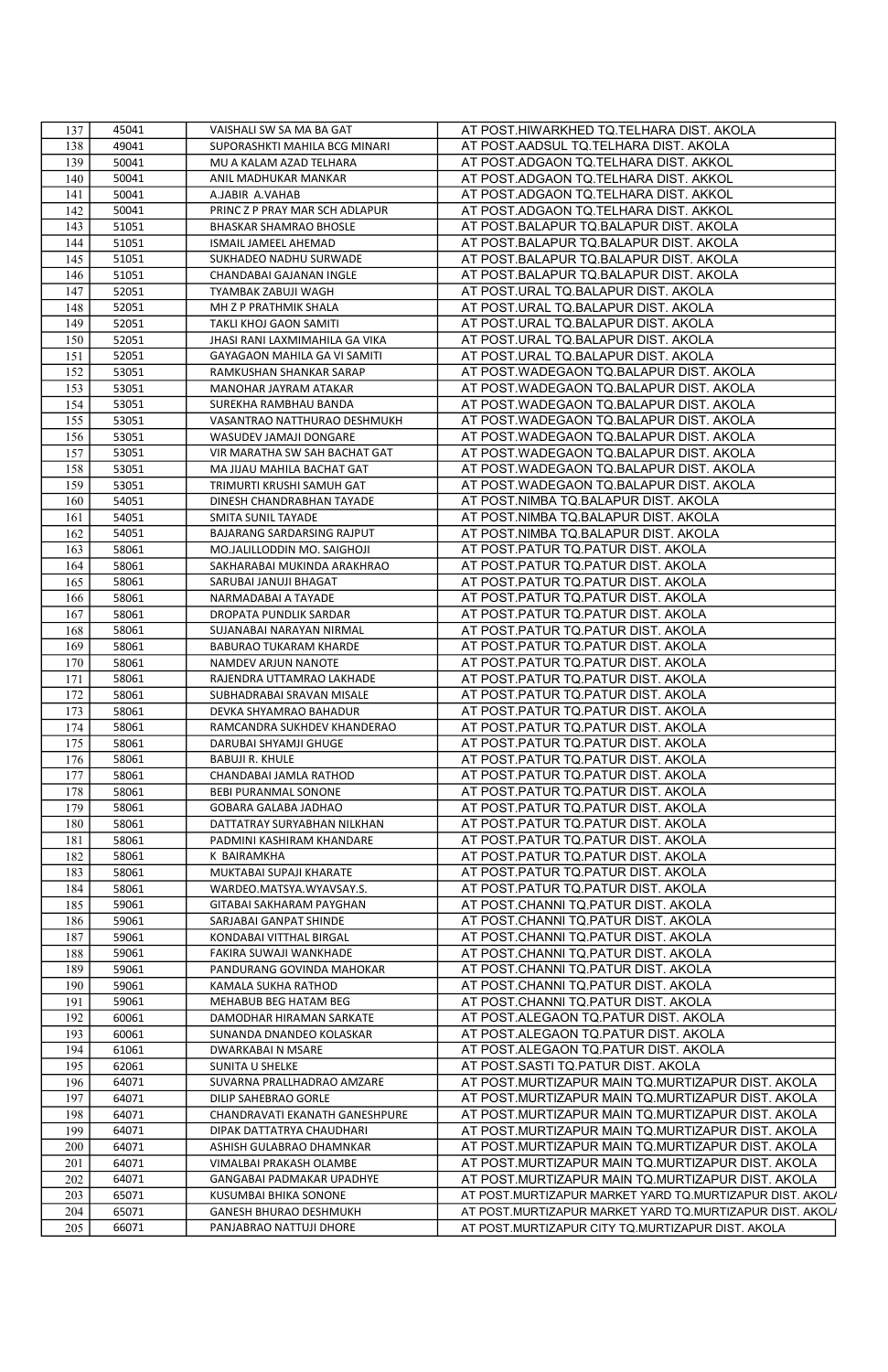| 137 | 45041 | VAISHALI SW SA MA BA GAT       | AT POST.HIWARKHED TQ.TELHARA DIST. AKOLA                 |
|-----|-------|--------------------------------|----------------------------------------------------------|
| 138 | 49041 | SUPORASHKTI MAHILA BCG MINARI  | AT POST.AADSUL TQ.TELHARA DIST. AKOLA                    |
| 139 | 50041 | MU A KALAM AZAD TELHARA        | AT POST.ADGAON TQ.TELHARA DIST. AKKOL                    |
| 140 | 50041 | ANIL MADHUKAR MANKAR           | AT POST.ADGAON TQ.TELHARA DIST. AKKOL                    |
| 141 | 50041 | A.JABIR A.VAHAB                | AT POST.ADGAON TQ.TELHARA DIST. AKKOL                    |
| 142 | 50041 | PRINC Z P PRAY MAR SCH ADLAPUR | AT POST.ADGAON TQ.TELHARA DIST. AKKOL                    |
| 143 | 51051 | BHASKAR SHAMRAO BHOSLE         | AT POST.BALAPUR TQ.BALAPUR DIST. AKOLA                   |
| 144 | 51051 | ISMAIL JAMEEL AHEMAD           | AT POST.BALAPUR TQ.BALAPUR DIST. AKOLA                   |
| 145 | 51051 | SUKHADEO NADHU SURWADE         | AT POST.BALAPUR TQ.BALAPUR DIST. AKOLA                   |
| 146 | 51051 | CHANDABAI GAJANAN INGLE        | AT POST.BALAPUR TQ.BALAPUR DIST. AKOLA                   |
|     |       |                                |                                                          |
| 147 | 52051 | TYAMBAK ZABUJI WAGH            | AT POST.URAL TQ.BALAPUR DIST. AKOLA                      |
| 148 | 52051 | MH Z P PRATHMIK SHALA          | AT POST.URAL TQ.BALAPUR DIST. AKOLA                      |
| 149 | 52051 | TAKLI KHOJ GAON SAMITI         | AT POST.URAL TQ.BALAPUR DIST. AKOLA                      |
| 150 | 52051 | JHASI RANI LAXMIMAHILA GA VIKA | AT POST.URAL TQ.BALAPUR DIST. AKOLA                      |
| 151 | 52051 | GAYAGAON MAHILA GA VI SAMITI   | AT POST.URAL TQ.BALAPUR DIST. AKOLA                      |
| 152 | 53051 | RAMKUSHAN SHANKAR SARAP        | AT POST.WADEGAON TQ.BALAPUR DIST. AKOLA                  |
| 153 | 53051 | MANOHAR JAYRAM ATAKAR          | AT POST.WADEGAON TQ.BALAPUR DIST. AKOLA                  |
| 154 | 53051 | SUREKHA RAMBHAU BANDA          | AT POST.WADEGAON TQ.BALAPUR DIST. AKOLA                  |
| 155 | 53051 | VASANTRAO NATTHURAO DESHMUKH   | AT POST.WADEGAON TQ.BALAPUR DIST. AKOLA                  |
| 156 | 53051 | WASUDEV JAMAJI DONGARE         | AT POST.WADEGAON TQ.BALAPUR DIST. AKOLA                  |
| 157 | 53051 | VIR MARATHA SW SAH BACHAT GAT  | AT POST.WADEGAON TQ.BALAPUR DIST. AKOLA                  |
| 158 | 53051 | MA JIJAU MAHILA BACHAT GAT     | AT POST.WADEGAON TQ.BALAPUR DIST. AKOLA                  |
| 159 | 53051 | TRIMURTI KRUSHI SAMUH GAT      | AT POST.WADEGAON TQ.BALAPUR DIST. AKOLA                  |
| 160 | 54051 | DINESH CHANDRABHAN TAYADE      | AT POST.NIMBA TQ.BALAPUR DIST. AKOLA                     |
| 161 | 54051 | SMITA SUNIL TAYADE             | AT POST.NIMBA TQ.BALAPUR DIST. AKOLA                     |
|     |       |                                |                                                          |
| 162 | 54051 | BAJARANG SARDARSING RAJPUT     | AT POST.NIMBA TQ.BALAPUR DIST. AKOLA                     |
| 163 | 58061 | MO.JALILLODDIN MO. SAIGHOJI    | AT POST. PATUR TO PATUR DIST. AKOLA                      |
| 164 | 58061 | SAKHARABAI MUKINDA ARAKHRAO    | AT POST.PATUR TQ.PATUR DIST. AKOLA                       |
| 165 | 58061 | SARUBAI JANUJI BHAGAT          | AT POST.PATUR TQ.PATUR DIST. AKOLA                       |
| 166 | 58061 | NARMADABAI A TAYADE            | AT POST.PATUR TQ.PATUR DIST. AKOLA                       |
| 167 | 58061 | DROPATA PUNDLIK SARDAR         | AT POST.PATUR TQ.PATUR DIST. AKOLA                       |
| 168 | 58061 | SUJANABAI NARAYAN NIRMAL       | AT POST.PATUR TQ.PATUR DIST. AKOLA                       |
| 169 | 58061 | BABURAO TUKARAM KHARDE         | AT POST.PATUR TQ.PATUR DIST. AKOLA                       |
| 170 | 58061 | NAMDEV ARJUN NANOTE            | AT POST.PATUR TQ.PATUR DIST. AKOLA                       |
| 171 | 58061 | RAJENDRA UTTAMRAO LAKHADE      | AT POST.PATUR TQ.PATUR DIST. AKOLA                       |
| 172 | 58061 | SUBHADRABAI SRAVAN MISALE      | AT POST.PATUR TQ.PATUR DIST. AKOLA                       |
| 173 | 58061 | DEVKA SHYAMRAO BAHADUR         | AT POST.PATUR TQ.PATUR DIST. AKOLA                       |
| 174 | 58061 | RAMCANDRA SUKHDEV KHANDERAO    | AT POST.PATUR TQ.PATUR DIST. AKOLA                       |
| 175 | 58061 | DARUBAI SHYAMJI GHUGE          | AT POST.PATUR TQ.PATUR DIST. AKOLA                       |
| 176 | 58061 | <b>BABUJI R. KHULE</b>         | AT POST.PATUR TQ.PATUR DIST. AKOLA                       |
| 177 | 58061 | CHANDABAI JAMLA RATHOD         | AT POST.PATUR TQ.PATUR DIST. AKOLA                       |
| 178 | 58061 | BEBI PURANMAL SONONE           | AT POST.PATUR TQ.PATUR DIST. AKOLA                       |
| 179 | 58061 | GOBARA GALABA JADHAO           | AT POST.PATUR TQ.PATUR DIST. AKOLA                       |
| 180 | 58061 | DATTATRAY SURYABHAN NILKHAN    | AT POST.PATUR TQ.PATUR DIST. AKOLA                       |
|     | 58061 | PADMINI KASHIRAM KHANDARE      |                                                          |
| 181 |       |                                | AT POST.PATUR TQ.PATUR DIST. AKOLA                       |
| 182 | 58061 | K BAIRAMKHA                    | AT POST.PATUR TQ.PATUR DIST. AKOLA                       |
| 183 | 58061 | MUKTABAI SUPAJI KHARATE        | AT POST.PATUR TQ.PATUR DIST. AKOLA                       |
| 184 | 58061 | WARDEO.MATSYA.WYAVSAY.S.       | AT POST.PATUR TQ.PATUR DIST. AKOLA                       |
| 185 | 59061 | GITABAI SAKHARAM PAYGHAN       | AT POST.CHANNI TQ.PATUR DIST. AKOLA                      |
| 186 | 59061 | SARJABAI GANPAT SHINDE         | AT POST.CHANNI TQ.PATUR DIST. AKOLA                      |
| 187 | 59061 | KONDABAI VITTHAL BIRGAL        | AT POST.CHANNI TQ.PATUR DIST. AKOLA                      |
| 188 | 59061 | FAKIRA SUWAJI WANKHADE         | AT POST.CHANNI TQ.PATUR DIST. AKOLA                      |
| 189 | 59061 | PANDURANG GOVINDA MAHOKAR      | AT POST.CHANNI TQ.PATUR DIST. AKOLA                      |
| 190 | 59061 | KAMALA SUKHA RATHOD            | AT POST.CHANNI TQ.PATUR DIST. AKOLA                      |
| 191 | 59061 | MEHABUB BEG HATAM BEG          | AT POST.CHANNI TQ.PATUR DIST. AKOLA                      |
| 192 | 60061 | DAMODHAR HIRAMAN SARKATE       | AT POST.ALEGAON TO PATUR DIST. AKOLA                     |
| 193 | 60061 | SUNANDA DNANDEO KOLASKAR       | AT POST.ALEGAON TQ.PATUR DIST. AKOLA                     |
| 194 | 61061 | DWARKABAI N MSARE              | AT POST.ALEGAON TQ.PATUR DIST. AKOLA                     |
| 195 | 62061 | SUNITA U SHELKE                | AT POST.SASTI TQ.PATUR DIST. AKOLA                       |
| 196 | 64071 | SUVARNA PRALLHADRAO AMZARE     | AT POST.MURTIZAPUR MAIN TQ.MURTIZAPUR DIST. AKOLA        |
| 197 | 64071 | DILIP SAHEBRAO GORLE           | AT POST.MURTIZAPUR MAIN TQ.MURTIZAPUR DIST. AKOLA        |
| 198 | 64071 | CHANDRAVATI EKANATH GANESHPURE | AT POST.MURTIZAPUR MAIN TQ.MURTIZAPUR DIST. AKOLA        |
| 199 | 64071 |                                | AT POST.MURTIZAPUR MAIN TQ.MURTIZAPUR DIST. AKOLA        |
|     |       | DIPAK DATTATRYA CHAUDHARI      |                                                          |
| 200 | 64071 | ASHISH GULABRAO DHAMNKAR       | AT POST.MURTIZAPUR MAIN TQ.MURTIZAPUR DIST. AKOLA        |
| 201 | 64071 | VIMALBAI PRAKASH OLAMBE        | AT POST.MURTIZAPUR MAIN TQ.MURTIZAPUR DIST. AKOLA        |
| 202 | 64071 | GANGABAI PADMAKAR UPADHYE      | AT POST.MURTIZAPUR MAIN TQ.MURTIZAPUR DIST. AKOLA        |
| 203 | 65071 | KUSUMBAI BHIKA SONONE          | AT POST.MURTIZAPUR MARKET YARD TQ.MURTIZAPUR DIST. AKOL/ |
| 204 | 65071 | <b>GANESH BHURAO DESHMUKH</b>  | AT POST.MURTIZAPUR MARKET YARD TQ.MURTIZAPUR DIST. AKOLA |
| 205 | 66071 | PANJABRAO NATTUJI DHORE        | AT POST.MURTIZAPUR CITY TQ.MURTIZAPUR DIST. AKOLA        |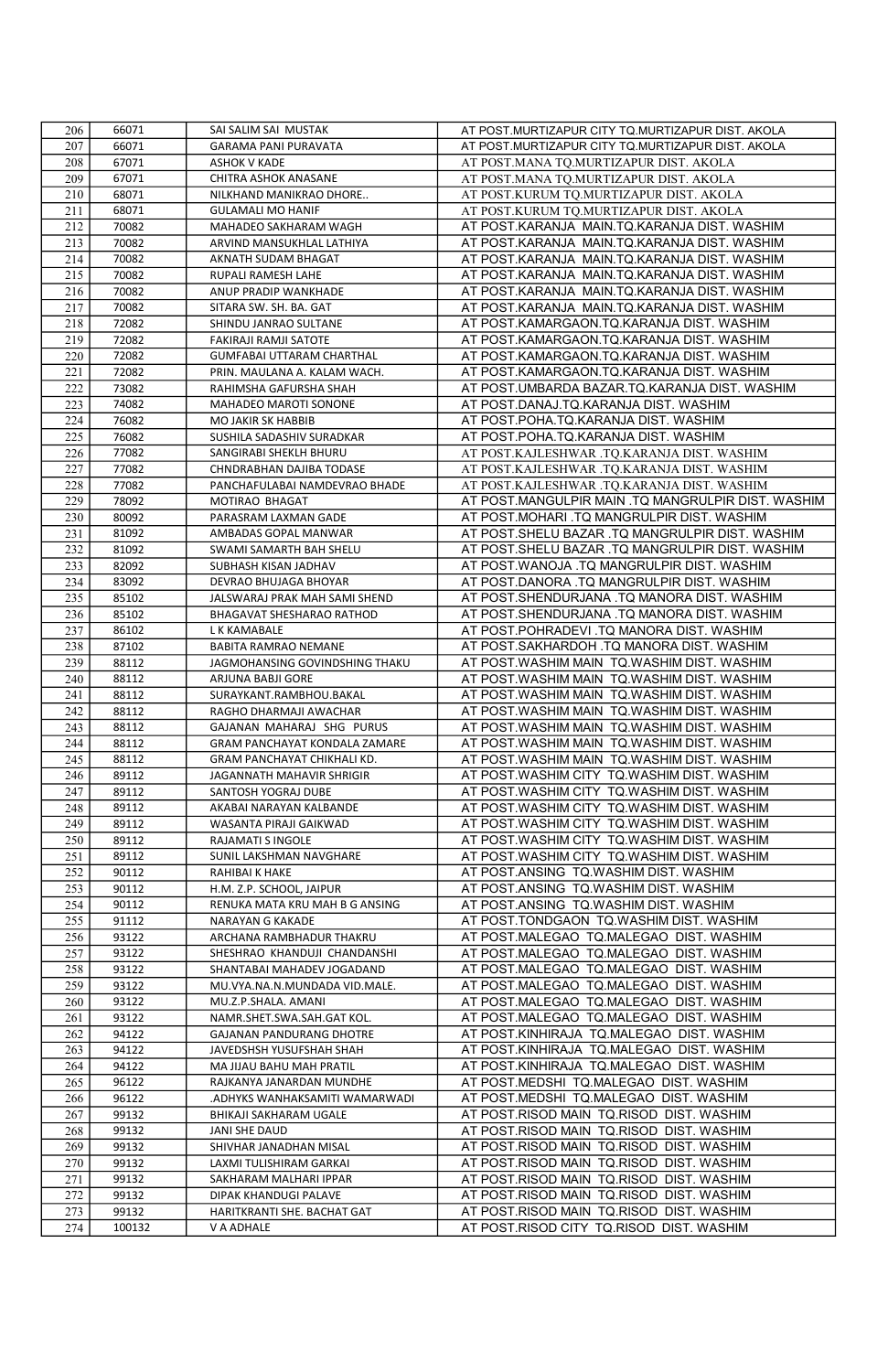| 206 | 66071  | SAI SALIM SAI MUSTAK                                       | AT POST.MURTIZAPUR CITY TQ.MURTIZAPUR DIST. AKOLA  |
|-----|--------|------------------------------------------------------------|----------------------------------------------------|
| 207 | 66071  | GARAMA PANI PURAVATA                                       | AT POST.MURTIZAPUR CITY TQ.MURTIZAPUR DIST. AKOLA  |
| 208 | 67071  | <b>ASHOK V KADE</b>                                        | AT POST.MANA TQ.MURTIZAPUR DIST. AKOLA             |
| 209 | 67071  | CHITRA ASHOK ANASANE                                       | AT POST.MANA TQ.MURTIZAPUR DIST. AKOLA             |
| 210 | 68071  | NILKHAND MANIKRAO DHORE                                    | AT POST.KURUM TQ.MURTIZAPUR DIST. AKOLA            |
| 211 | 68071  | <b>GULAMALI MO HANIF</b>                                   | AT POST.KURUM TQ.MURTIZAPUR DIST. AKOLA            |
| 212 | 70082  | MAHADEO SAKHARAM WAGH                                      | AT POST.KARANJA MAIN.TQ.KARANJA DIST. WASHIM       |
| 213 | 70082  | ARVIND MANSUKHLAL LATHIYA                                  | AT POST.KARANJA MAIN.TQ.KARANJA DIST. WASHIM       |
| 214 | 70082  | AKNATH SUDAM BHAGAT                                        | AT POST.KARANJA MAIN.TQ.KARANJA DIST. WASHIM       |
| 215 | 70082  | RUPALI RAMESH LAHE                                         | AT POST.KARANJA MAIN.TQ.KARANJA DIST. WASHIM       |
| 216 | 70082  | ANUP PRADIP WANKHADE                                       | AT POST.KARANJA MAIN.TQ.KARANJA DIST. WASHIM       |
| 217 | 70082  | SITARA SW. SH. BA. GAT                                     | AT POST.KARANJA MAIN.TQ.KARANJA DIST. WASHIM       |
| 218 | 72082  | SHINDU JANRAO SULTANE                                      | AT POST.KAMARGAON.TQ.KARANJA DIST. WASHIM          |
| 219 | 72082  | FAKIRAJI RAMJI SATOTE                                      | AT POST.KAMARGAON.TQ.KARANJA DIST. WASHIM          |
| 220 | 72082  | <b>GUMFABAI UTTARAM CHARTHAL</b>                           | AT POST.KAMARGAON.TQ.KARANJA DIST. WASHIM          |
| 221 | 72082  | PRIN. MAULANA A. KALAM WACH.                               | AT POST.KAMARGAON.TQ.KARANJA DIST. WASHIM          |
| 222 | 73082  | RAHIMSHA GAFURSHA SHAH                                     | AT POST.UMBARDA BAZAR.TQ.KARANJA DIST. WASHIM      |
| 223 | 74082  | MAHADEO MAROTI SONONE                                      | AT POST.DANAJ.TQ.KARANJA DIST. WASHIM              |
| 224 | 76082  | MO JAKIR SK HABBIB                                         | AT POST.POHA.TQ.KARANJA DIST. WASHIM               |
| 225 | 76082  | SUSHILA SADASHIV SURADKAR                                  | AT POST.POHA.TQ.KARANJA DIST. WASHIM               |
| 226 | 77082  | SANGIRABI SHEKLH BHURU                                     | AT POST.KAJLESHWAR .TQ.KARANJA DIST. WASHIM        |
| 227 | 77082  | CHNDRABHAN DAJIBA TODASE                                   | AT POST.KAJLESHWAR .TQ.KARANJA DIST. WASHIM        |
| 228 | 77082  | PANCHAFULABAI NAMDEVRAO BHADE                              | AT POST.KAJLESHWAR .TQ.KARANJA DIST. WASHIM        |
| 229 | 78092  | MOTIRAO BHAGAT                                             | AT POST.MANGULPIR MAIN .TQ MANGRULPIR DIST. WASHIM |
| 230 | 80092  | PARASRAM LAXMAN GADE                                       | AT POST.MOHARI .TQ MANGRULPIR DIST. WASHIM         |
| 231 | 81092  | AMBADAS GOPAL MANWAR                                       | AT POST.SHELU BAZAR .TQ MANGRULPIR DIST. WASHIM    |
| 232 | 81092  | SWAMI SAMARTH BAH SHELU                                    | AT POST.SHELU BAZAR .TQ MANGRULPIR DIST. WASHIM    |
| 233 | 82092  | SUBHASH KISAN JADHAV                                       | AT POST.WANOJA .TQ MANGRULPIR DIST. WASHIM         |
| 234 | 83092  | DEVRAO BHUJAGA BHOYAR                                      | AT POST.DANORA .TQ MANGRULPIR DIST. WASHIM         |
| 235 | 85102  | JALSWARAJ PRAK MAH SAMI SHEND                              | AT POST.SHENDURJANA .TQ MANORA DIST. WASHIM        |
| 236 | 85102  | BHAGAVAT SHESHARAO RATHOD                                  | AT POST.SHENDURJANA .TQ MANORA DIST. WASHIM        |
| 237 | 86102  | L K KAMABALE                                               | AT POST.POHRADEVI .TQ MANORA DIST. WASHIM          |
| 238 | 87102  | BABITA RAMRAO NEMANE                                       | AT POST.SAKHARDOH .TQ MANORA DIST. WASHIM          |
| 239 | 88112  | JAGMOHANSING GOVINDSHING THAKU                             | AT POST.WASHIM MAIN TQ.WASHIM DIST. WASHIM         |
| 240 | 88112  | ARJUNA BABJI GORE                                          | AT POST.WASHIM MAIN TQ.WASHIM DIST. WASHIM         |
| 241 | 88112  | SURAYKANT.RAMBHOU.BAKAL                                    | AT POST.WASHIM MAIN TQ.WASHIM DIST. WASHIM         |
| 242 | 88112  | RAGHO DHARMAJI AWACHAR                                     | AT POST.WASHIM MAIN TQ.WASHIM DIST. WASHIM         |
| 243 | 88112  | GAJANAN MAHARAJ SHG PURUS                                  | AT POST.WASHIM MAIN TQ.WASHIM DIST. WASHIM         |
| 244 | 88112  | GRAM PANCHAYAT KONDALA ZAMARE                              | AT POST.WASHIM MAIN TQ.WASHIM DIST. WASHIM         |
| 245 | 88112  | GRAM PANCHAYAT CHIKHALI KD.                                | AT POST.WASHIM MAIN TQ.WASHIM DIST. WASHIM         |
| 246 | 89112  | JAGANNATH MAHAVIR SHRIGIR                                  | AT POST.WASHIM CITY TQ.WASHIM DIST. WASHIM         |
| 247 | 89112  | SANTOSH YOGRAJ DUBE                                        | AT POST.WASHIM CITY TQ.WASHIM DIST. WASHIM         |
| 248 | 89112  | AKABAI NARAYAN KALBANDE                                    | AT POST.WASHIM CITY TQ.WASHIM DIST. WASHIM         |
| 249 | 89112  | WASANTA PIRAJI GAIKWAD                                     | AT POST.WASHIM CITY TQ.WASHIM DIST. WASHIM         |
| 250 | 89112  | RAJAMATI S INGOLE                                          | AT POST. WASHIM CITY TO. WASHIM DIST. WASHIM       |
| 251 | 89112  | SUNIL LAKSHMAN NAVGHARE                                    | AT POST.WASHIM CITY TQ.WASHIM DIST. WASHIM         |
| 252 | 90112  | RAHIBAI K HAKE                                             | AT POST.ANSING TQ.WASHIM DIST. WASHIM              |
| 253 | 90112  |                                                            | AT POST.ANSING TO.WASHIM DIST. WASHIM              |
| 254 | 90112  | H.M. Z.P. SCHOOL, JAIPUR<br>RENUKA MATA KRU MAH B G ANSING | AT POST.ANSING TQ.WASHIM DIST. WASHIM              |
| 255 | 91112  | NARAYAN G KAKADE                                           | AT POST.TONDGAON TQ.WASHIM DIST. WASHIM            |
| 256 | 93122  | ARCHANA RAMBHADUR THAKRU                                   | AT POST.MALEGAO TQ.MALEGAO DIST. WASHIM            |
| 257 | 93122  | SHESHRAO KHANDUJI CHANDANSHI                               | AT POST.MALEGAO TQ.MALEGAO DIST. WASHIM            |
| 258 | 93122  | SHANTABAI MAHADEV JOGADAND                                 | AT POST.MALEGAO TQ.MALEGAO DIST. WASHIM            |
| 259 | 93122  | MU.VYA.NA.N.MUNDADA VID.MALE.                              | AT POST.MALEGAO TQ.MALEGAO DIST. WASHIM            |
| 260 | 93122  | MU.Z.P.SHALA. AMANI                                        | AT POST.MALEGAO TQ.MALEGAO DIST. WASHIM            |
| 261 | 93122  | NAMR.SHET.SWA.SAH.GAT KOL                                  | AT POST.MALEGAO TQ.MALEGAO DIST. WASHIM            |
| 262 | 94122  | <b>GAJANAN PANDURANG DHOTRE</b>                            | AT POST.KINHIRAJA TQ.MALEGAO DIST. WASHIM          |
| 263 | 94122  | JAVEDSHSH YUSUFSHAH SHAH                                   | AT POST.KINHIRAJA TQ.MALEGAO DIST. WASHIM          |
| 264 | 94122  | MA JIJAU BAHU MAH PRATIL                                   | AT POST.KINHIRAJA TQ.MALEGAO DIST. WASHIM          |
| 265 | 96122  | RAJKANYA JANARDAN MUNDHE                                   | AT POST.MEDSHI TQ.MALEGAO DIST. WASHIM             |
| 266 | 96122  | ADHYKS WANHAKSAMITI WAMARWADI                              | AT POST.MEDSHI TQ.MALEGAO DIST. WASHIM             |
| 267 | 99132  | BHIKAJI SAKHARAM UGALE                                     | AT POST.RISOD MAIN TQ.RISOD DIST. WASHIM           |
| 268 | 99132  | <b>JANI SHE DAUD</b>                                       | AT POST.RISOD MAIN TQ.RISOD DIST. WASHIM           |
| 269 | 99132  | SHIVHAR JANADHAN MISAL                                     | AT POST.RISOD MAIN TQ.RISOD DIST. WASHIM           |
| 270 | 99132  | LAXMI TULISHIRAM GARKAI                                    | AT POST.RISOD MAIN TQ.RISOD DIST. WASHIM           |
| 271 | 99132  | SAKHARAM MALHARI IPPAR                                     | AT POST.RISOD MAIN TQ.RISOD DIST. WASHIM           |
| 272 | 99132  | DIPAK KHANDUGI PALAVE                                      | AT POST.RISOD MAIN TQ.RISOD DIST. WASHIM           |
| 273 | 99132  | HARITKRANTI SHE. BACHAT GAT                                | AT POST.RISOD MAIN TQ.RISOD DIST. WASHIM           |
| 274 | 100132 | V A ADHALE                                                 | AT POST.RISOD CITY TQ.RISOD DIST. WASHIM           |
|     |        |                                                            |                                                    |